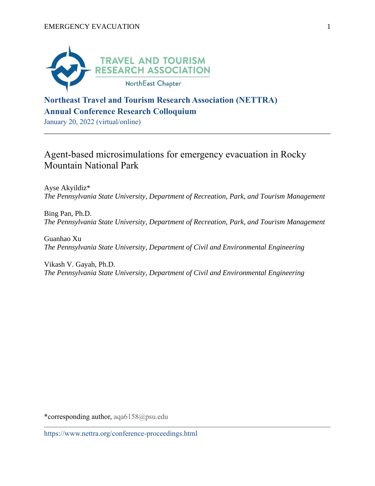

# **Northeast Travel and Tourism Research Association (NETTRA) Annual Conference Research Colloquium**

January 20, 2022 (virtual/online)

# Agent-based microsimulations for emergency evacuation in Rocky Mountain National Park

Ayse Akyildiz\* *The Pennsylvania State University, Department of Recreation, Park, and Tourism Management*

Bing Pan, Ph.D. *The Pennsylvania State University, Department of Recreation, Park, and Tourism Management*

Guanhao Xu *The Pennsylvania State University, Department of Civil and Environmental Engineering*

Vikash V. Gayah, Ph.D. *The Pennsylvania State University, Department of Civil and Environmental Engineering*

\*corresponding author, aqa6158@psu.edu

https://www.nettra.org/conference-proceedings.html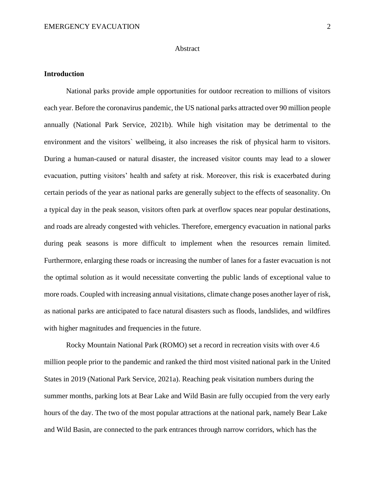### **Abstract**

# **Introduction**

National parks provide ample opportunities for outdoor recreation to millions of visitors each year. Before the coronavirus pandemic, the US national parks attracted over 90 million people annually (National Park Service, 2021b). While high visitation may be detrimental to the environment and the visitors` wellbeing, it also increases the risk of physical harm to visitors. During a human-caused or natural disaster, the increased visitor counts may lead to a slower evacuation, putting visitors' health and safety at risk. Moreover, this risk is exacerbated during certain periods of the year as national parks are generally subject to the effects of seasonality. On a typical day in the peak season, visitors often park at overflow spaces near popular destinations, and roads are already congested with vehicles. Therefore, emergency evacuation in national parks during peak seasons is more difficult to implement when the resources remain limited. Furthermore, enlarging these roads or increasing the number of lanes for a faster evacuation is not the optimal solution as it would necessitate converting the public lands of exceptional value to more roads. Coupled with increasing annual visitations, climate change poses another layer of risk, as national parks are anticipated to face natural disasters such as floods, landslides, and wildfires with higher magnitudes and frequencies in the future.

Rocky Mountain National Park (ROMO) set a record in recreation visits with over 4.6 million people prior to the pandemic and ranked the third most visited national park in the United States in 2019 (National Park Service, 2021a). Reaching peak visitation numbers during the summer months, parking lots at Bear Lake and Wild Basin are fully occupied from the very early hours of the day. The two of the most popular attractions at the national park, namely Bear Lake and Wild Basin, are connected to the park entrances through narrow corridors, which has the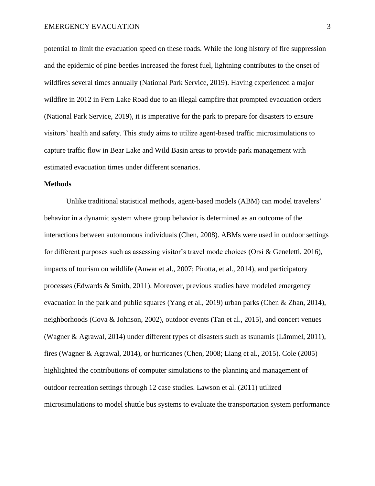potential to limit the evacuation speed on these roads. While the long history of fire suppression and the epidemic of pine beetles increased the forest fuel, lightning contributes to the onset of wildfires several times annually (National Park Service, 2019). Having experienced a major wildfire in 2012 in Fern Lake Road due to an illegal campfire that prompted evacuation orders (National Park Service, 2019), it is imperative for the park to prepare for disasters to ensure visitors' health and safety. This study aims to utilize agent-based traffic microsimulations to capture traffic flow in Bear Lake and Wild Basin areas to provide park management with estimated evacuation times under different scenarios.

#### **Methods**

Unlike traditional statistical methods, agent-based models (ABM) can model travelers' behavior in a dynamic system where group behavior is determined as an outcome of the interactions between autonomous individuals (Chen, 2008). ABMs were used in outdoor settings for different purposes such as assessing visitor's travel mode choices (Orsi & Geneletti, 2016), impacts of tourism on wildlife (Anwar et al., 2007; Pirotta, et al., 2014), and participatory processes (Edwards & Smith, 2011). Moreover, previous studies have modeled emergency evacuation in the park and public squares (Yang et al., 2019) urban parks (Chen & Zhan, 2014), neighborhoods (Cova & Johnson, 2002), outdoor events (Tan et al., 2015), and concert venues (Wagner & Agrawal, 2014) under different types of disasters such as tsunamis (Lämmel, 2011), fires (Wagner & Agrawal, 2014), or hurricanes (Chen, 2008; Liang et al., 2015). Cole (2005) highlighted the contributions of computer simulations to the planning and management of outdoor recreation settings through 12 case studies. Lawson et al. (2011) utilized microsimulations to model shuttle bus systems to evaluate the transportation system performance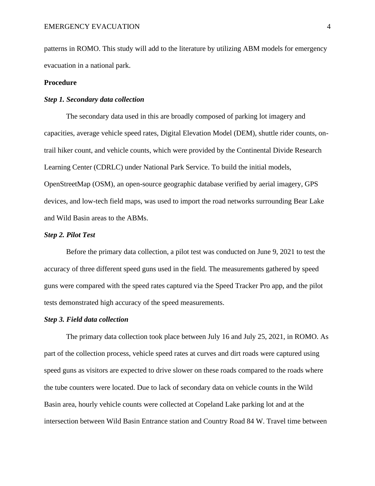patterns in ROMO. This study will add to the literature by utilizing ABM models for emergency evacuation in a national park.

# **Procedure**

# *Step 1. Secondary data collection*

The secondary data used in this are broadly composed of parking lot imagery and capacities, average vehicle speed rates, Digital Elevation Model (DEM), shuttle rider counts, ontrail hiker count, and vehicle counts, which were provided by the Continental Divide Research Learning Center (CDRLC) under National Park Service. To build the initial models, OpenStreetMap (OSM), an open-source geographic database verified by aerial imagery, GPS devices, and low-tech field maps, was used to import the road networks surrounding Bear Lake and Wild Basin areas to the ABMs.

#### *Step 2. Pilot Test*

Before the primary data collection, a pilot test was conducted on June 9, 2021 to test the accuracy of three different speed guns used in the field. The measurements gathered by speed guns were compared with the speed rates captured via the Speed Tracker Pro app, and the pilot tests demonstrated high accuracy of the speed measurements.

#### *Step 3. Field data collection*

The primary data collection took place between July 16 and July 25, 2021, in ROMO. As part of the collection process, vehicle speed rates at curves and dirt roads were captured using speed guns as visitors are expected to drive slower on these roads compared to the roads where the tube counters were located. Due to lack of secondary data on vehicle counts in the Wild Basin area, hourly vehicle counts were collected at Copeland Lake parking lot and at the intersection between Wild Basin Entrance station and Country Road 84 W. Travel time between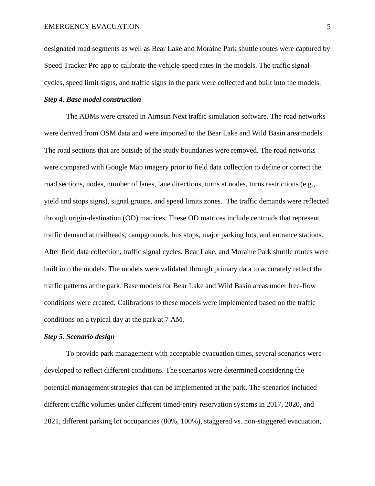designated road segments as well as Bear Lake and Moraine Park shuttle routes were captured by Speed Tracker Pro app to calibrate the vehicle speed rates in the models. The traffic signal cycles, speed limit signs, and traffic signs in the park were collected and built into the models.

# *Step 4. Base model construction*

The ABMs were created in Aimsun Next traffic simulation software. The road networks were derived from OSM data and were imported to the Bear Lake and Wild Basin area models. The road sections that are outside of the study boundaries were removed. The road networks were compared with Google Map imagery prior to field data collection to define or correct the road sections, nodes, number of lanes, lane directions, turns at nodes, turns restrictions (e.g., yield and stops signs), signal groups, and speed limits zones. The traffic demands were reflected through origin-destination (OD) matrices. These OD matrices include centroids that represent traffic demand at trailheads, campgrounds, bus stops, major parking lots, and entrance stations. After field data collection, traffic signal cycles, Bear Lake, and Moraine Park shuttle routes were built into the models. The models were validated through primary data to accurately reflect the traffic patterns at the park. Base models for Bear Lake and Wild Basin areas under free-flow conditions were created. Calibrations to these models were implemented based on the traffic conditions on a typical day at the park at 7 AM.

# *Step 5. Scenario design*

To provide park management with acceptable evacuation times, several scenarios were developed to reflect different conditions. The scenarios were determined considering the potential management strategies that can be implemented at the park. The scenarios included different traffic volumes under different timed-entry reservation systems in 2017, 2020, and 2021, different parking lot occupancies (80%, 100%), staggered vs. non-staggered evacuation,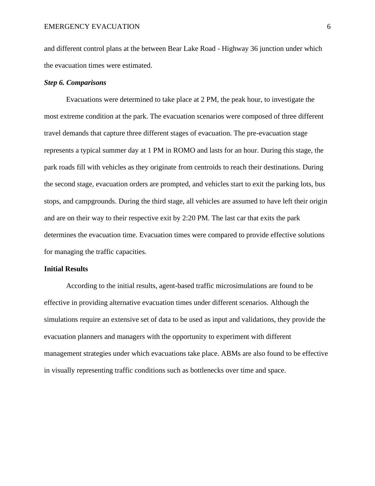and different control plans at the between Bear Lake Road - Highway 36 junction under which the evacuation times were estimated.

# *Step 6. Comparisons*

Evacuations were determined to take place at 2 PM, the peak hour, to investigate the most extreme condition at the park. The evacuation scenarios were composed of three different travel demands that capture three different stages of evacuation. The pre-evacuation stage represents a typical summer day at 1 PM in ROMO and lasts for an hour. During this stage, the park roads fill with vehicles as they originate from centroids to reach their destinations. During the second stage, evacuation orders are prompted, and vehicles start to exit the parking lots, bus stops, and campgrounds. During the third stage, all vehicles are assumed to have left their origin and are on their way to their respective exit by 2:20 PM. The last car that exits the park determines the evacuation time. Evacuation times were compared to provide effective solutions for managing the traffic capacities.

# **Initial Results**

According to the initial results, agent-based traffic microsimulations are found to be effective in providing alternative evacuation times under different scenarios. Although the simulations require an extensive set of data to be used as input and validations, they provide the evacuation planners and managers with the opportunity to experiment with different management strategies under which evacuations take place. ABMs are also found to be effective in visually representing traffic conditions such as bottlenecks over time and space.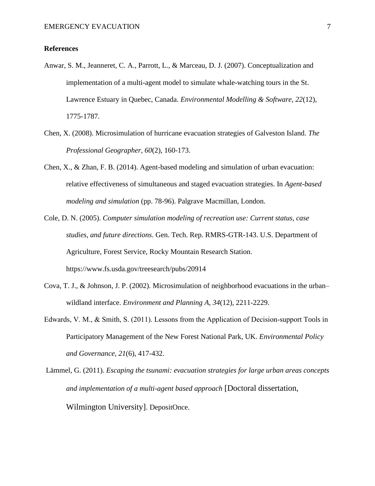# **References**

- Anwar, S. M., Jeanneret, C. A., Parrott, L., & Marceau, D. J. (2007). Conceptualization and implementation of a multi-agent model to simulate whale-watching tours in the St. Lawrence Estuary in Quebec, Canada. *Environmental Modelling & Software, 22*(12), 1775-1787.
- Chen, X. (2008). Microsimulation of hurricane evacuation strategies of Galveston Island. *The Professional Geographer, 60*(2), 160-173.
- Chen, X., & Zhan, F. B. (2014). Agent-based modeling and simulation of urban evacuation: relative effectiveness of simultaneous and staged evacuation strategies. In *Agent-based modeling and simulation* (pp. 78-96). Palgrave Macmillan, London.
- Cole, D. N. (2005). *Computer simulation modeling of recreation use: Current status, case studies, and future directions*. Gen. Tech. Rep. RMRS-GTR-143. U.S. Department of Agriculture, Forest Service, Rocky Mountain Research Station. https://www.fs.usda.gov/treesearch/pubs/20914
- Cova, T. J., & Johnson, J. P. (2002). Microsimulation of neighborhood evacuations in the urban– wildland interface. *Environment and Planning A, 34*(12), 2211-2229.
- Edwards, V. M., & Smith, S. (2011). Lessons from the Application of Decision-support Tools in Participatory Management of the New Forest National Park, UK. *Environmental Policy and Governance, 21*(6), 417-432.

Lämmel, G. (2011). *Escaping the tsunami: evacuation strategies for large urban areas concepts and implementation of a multi-agent based approach* [Doctoral dissertation, Wilmington University]. DepositOnce.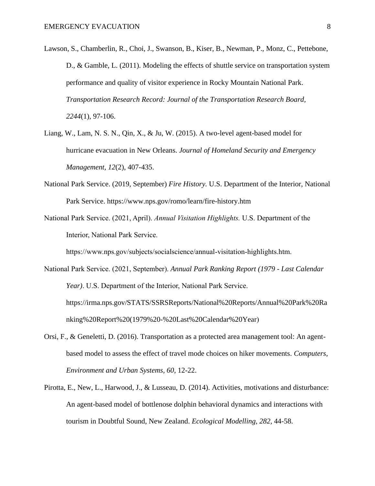- Lawson, S., Chamberlin, R., Choi, J., Swanson, B., Kiser, B., Newman, P., Monz, C., Pettebone, D., & Gamble, L. (2011). Modeling the effects of shuttle service on transportation system performance and quality of visitor experience in Rocky Mountain National Park. *Transportation Research Record: Journal of the Transportation Research Board, 2244*(1), 97-106.
- Liang, W., Lam, N. S. N., Qin, X., & Ju, W. (2015). A two-level agent-based model for hurricane evacuation in New Orleans. *Journal of Homeland Security and Emergency Management, 12*(2), 407-435.
- National Park Service. (2019, September) *Fire History.* U.S. Department of the Interior, National Park Service. https://www.nps.gov/romo/learn/fire-history.htm
- National Park Service. (2021, April). *Annual Visitation Highlights.* U.S. Department of the Interior, National Park Service.

https://www.nps.gov/subjects/socialscience/annual-visitation-highlights.htm.

- National Park Service. (2021, September). *Annual Park Ranking Report (1979 - Last Calendar Year)*. U.S. Department of the Interior, National Park Service. https://irma.nps.gov/STATS/SSRSReports/National%20Reports/Annual%20Park%20Ra nking%20Report%20(1979%20-%20Last%20Calendar%20Year)
- Orsi, F., & Geneletti, D. (2016). Transportation as a protected area management tool: An agentbased model to assess the effect of travel mode choices on hiker movements. *Computers, Environment and Urban Systems, 60*, 12-22.
- Pirotta, E., New, L., Harwood, J., & Lusseau, D. (2014). Activities, motivations and disturbance: An agent-based model of bottlenose dolphin behavioral dynamics and interactions with tourism in Doubtful Sound, New Zealand. *Ecological Modelling, 282,* 44-58.